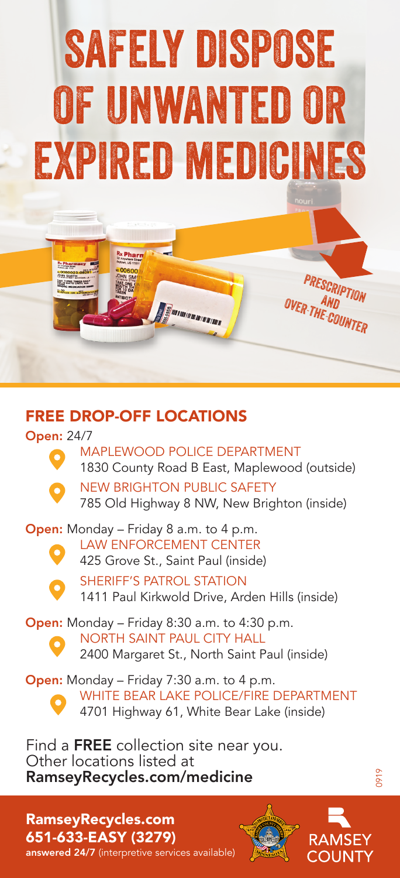## safely dispose of unwanted or expired medicines

## FREE DROP-OFF LOCATIONS

Open: 24/7



MAPLEWOOD POLICE DEPARTMENT 1830 County Road B East, Maplewood (outside) NEW BRIGHTON PUBLIC SAFETY

785 Old Highway 8 NW, New Brighton (inside)

**SERVICE DE LA CALIF** 

Open: Monday – Friday 8 a.m. to 4 p.m.



LAW ENFORCEMENT CENTER 425 Grove St., Saint Paul (inside)

SHERIFF'S PATROL STATION 1411 Paul Kirkwold Drive, Arden Hills (inside)

Open: Monday – Friday 8:30 a.m. to 4:30 p.m. NORTH SAINT PAUL CITY HALL 2400 Margaret St., North Saint Paul (inside)

Open: Monday – Friday 7:30 a.m. to 4 p.m. WHITE BEAR LAKE POLICE/FIRE DEPARTMENT 4701 Highway 61, White Bear Lake (inside)

Find a FREE collection site near you. Other locations listed at RamseyRecycles.com/medicine

RamseyRecycles.com 651-633-EASY (3279) answered 24/7 (interpretive services available)





**PRESCRIPTION** OVER-THE-COUNTER

0919